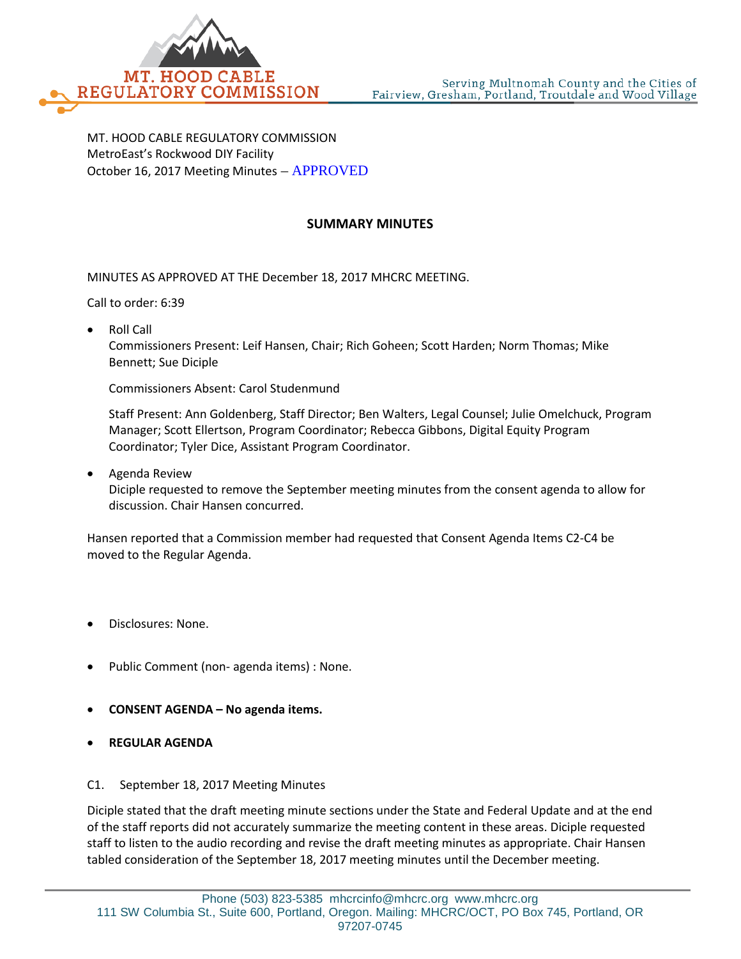

MT. HOOD CABLE REGULATORY COMMISSION MetroEast's Rockwood DIY Facility October 16, 2017 Meeting Minutes – APPROVED

## **SUMMARY MINUTES**

MINUTES AS APPROVED AT THE December 18, 2017 MHCRC MEETING.

Call to order: 6:39

• Roll Call

Commissioners Present: Leif Hansen, Chair; Rich Goheen; Scott Harden; Norm Thomas; Mike Bennett; Sue Diciple

Commissioners Absent: Carol Studenmund

Staff Present: Ann Goldenberg, Staff Director; Ben Walters, Legal Counsel; Julie Omelchuck, Program Manager; Scott Ellertson, Program Coordinator; Rebecca Gibbons, Digital Equity Program Coordinator; Tyler Dice, Assistant Program Coordinator.

• Agenda Review

Diciple requested to remove the September meeting minutes from the consent agenda to allow for discussion. Chair Hansen concurred.

Hansen reported that a Commission member had requested that Consent Agenda Items C2-C4 be moved to the Regular Agenda.

- Disclosures: None.
- Public Comment (non- agenda items) : None.
- **CONSENT AGENDA – No agenda items.**
- **REGULAR AGENDA**
- C1. September 18, 2017 Meeting Minutes

Diciple stated that the draft meeting minute sections under the State and Federal Update and at the end of the staff reports did not accurately summarize the meeting content in these areas. Diciple requested staff to listen to the audio recording and revise the draft meeting minutes as appropriate. Chair Hansen tabled consideration of the September 18, 2017 meeting minutes until the December meeting.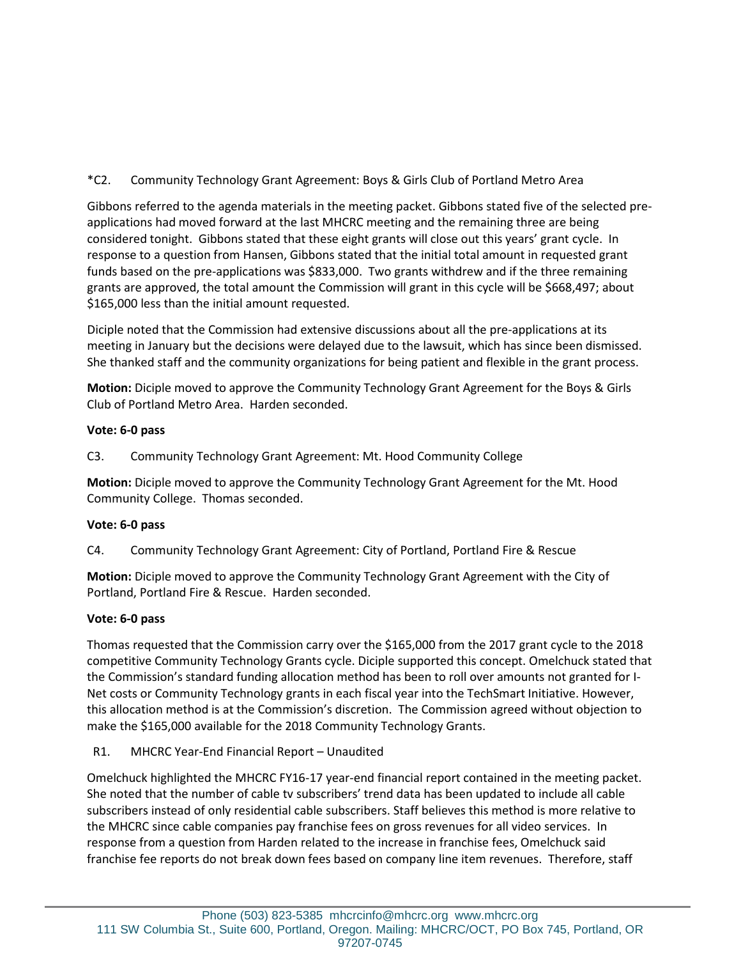\*C2. Community Technology Grant Agreement: Boys & Girls Club of Portland Metro Area

Gibbons referred to the agenda materials in the meeting packet. Gibbons stated five of the selected preapplications had moved forward at the last MHCRC meeting and the remaining three are being considered tonight. Gibbons stated that these eight grants will close out this years' grant cycle. In response to a question from Hansen, Gibbons stated that the initial total amount in requested grant funds based on the pre-applications was \$833,000. Two grants withdrew and if the three remaining grants are approved, the total amount the Commission will grant in this cycle will be \$668,497; about \$165,000 less than the initial amount requested.

Diciple noted that the Commission had extensive discussions about all the pre-applications at its meeting in January but the decisions were delayed due to the lawsuit, which has since been dismissed. She thanked staff and the community organizations for being patient and flexible in the grant process.

**Motion:** Diciple moved to approve the Community Technology Grant Agreement for the Boys & Girls Club of Portland Metro Area. Harden seconded.

## **Vote: 6-0 pass**

C3. Community Technology Grant Agreement: Mt. Hood Community College

**Motion:** Diciple moved to approve the Community Technology Grant Agreement for the Mt. Hood Community College. Thomas seconded.

## **Vote: 6-0 pass**

C4. Community Technology Grant Agreement: City of Portland, Portland Fire & Rescue

**Motion:** Diciple moved to approve the Community Technology Grant Agreement with the City of Portland, Portland Fire & Rescue. Harden seconded.

# **Vote: 6-0 pass**

Thomas requested that the Commission carry over the \$165,000 from the 2017 grant cycle to the 2018 competitive Community Technology Grants cycle. Diciple supported this concept. Omelchuck stated that the Commission's standard funding allocation method has been to roll over amounts not granted for I-Net costs or Community Technology grants in each fiscal year into the TechSmart Initiative. However, this allocation method is at the Commission's discretion. The Commission agreed without objection to make the \$165,000 available for the 2018 Community Technology Grants.

# R1. MHCRC Year-End Financial Report – Unaudited

Omelchuck highlighted the MHCRC FY16-17 year-end financial report contained in the meeting packet. She noted that the number of cable tv subscribers' trend data has been updated to include all cable subscribers instead of only residential cable subscribers. Staff believes this method is more relative to the MHCRC since cable companies pay franchise fees on gross revenues for all video services. In response from a question from Harden related to the increase in franchise fees, Omelchuck said franchise fee reports do not break down fees based on company line item revenues. Therefore, staff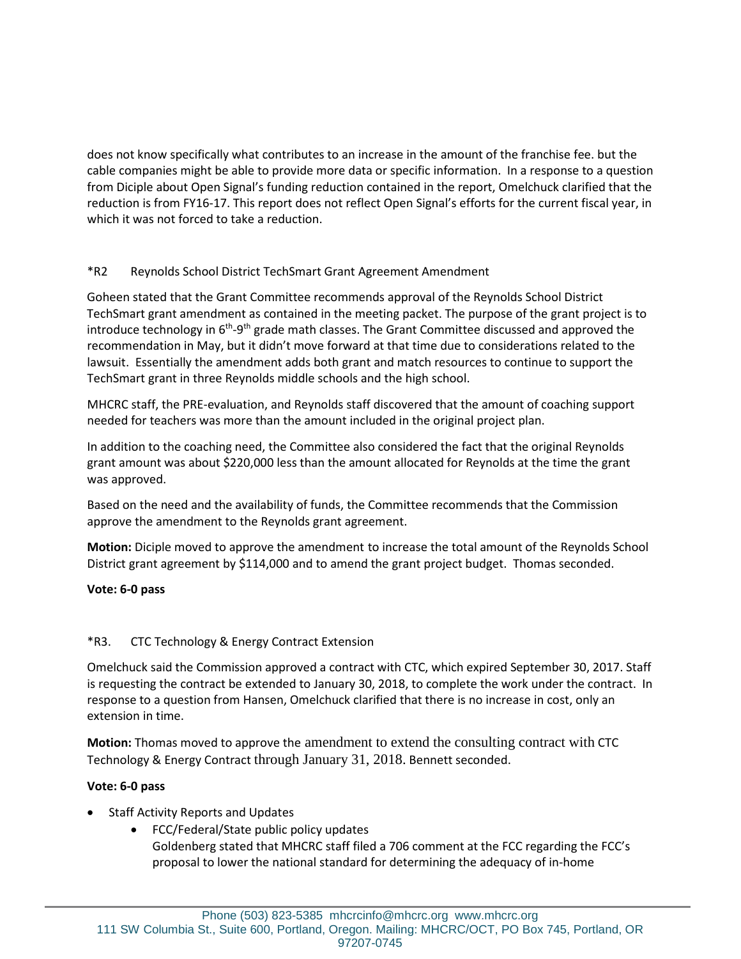does not know specifically what contributes to an increase in the amount of the franchise fee. but the cable companies might be able to provide more data or specific information. In a response to a question from Diciple about Open Signal's funding reduction contained in the report, Omelchuck clarified that the reduction is from FY16-17. This report does not reflect Open Signal's efforts for the current fiscal year, in which it was not forced to take a reduction.

## \*R2 Reynolds School District TechSmart Grant Agreement Amendment

Goheen stated that the Grant Committee recommends approval of the Reynolds School District TechSmart grant amendment as contained in the meeting packet. The purpose of the grant project is to introduce technology in  $6<sup>th</sup>-9<sup>th</sup>$  grade math classes. The Grant Committee discussed and approved the recommendation in May, but it didn't move forward at that time due to considerations related to the lawsuit. Essentially the amendment adds both grant and match resources to continue to support the TechSmart grant in three Reynolds middle schools and the high school.

MHCRC staff, the PRE-evaluation, and Reynolds staff discovered that the amount of coaching support needed for teachers was more than the amount included in the original project plan.

In addition to the coaching need, the Committee also considered the fact that the original Reynolds grant amount was about \$220,000 less than the amount allocated for Reynolds at the time the grant was approved.

Based on the need and the availability of funds, the Committee recommends that the Commission approve the amendment to the Reynolds grant agreement.

**Motion:** Diciple moved to approve the amendment to increase the total amount of the Reynolds School District grant agreement by \$114,000 and to amend the grant project budget. Thomas seconded.

## **Vote: 6-0 pass**

## \*R3. CTC Technology & Energy Contract Extension

Omelchuck said the Commission approved a contract with CTC, which expired September 30, 2017. Staff is requesting the contract be extended to January 30, 2018, to complete the work under the contract. In response to a question from Hansen, Omelchuck clarified that there is no increase in cost, only an extension in time.

**Motion:** Thomas moved to approve the amendment to extend the consulting contract with CTC Technology & Energy Contract through January 31, 2018. Bennett seconded.

## **Vote: 6-0 pass**

- Staff Activity Reports and Updates
	- FCC/Federal/State public policy updates
		- Goldenberg stated that MHCRC staff filed a 706 comment at the FCC regarding the FCC's proposal to lower the national standard for determining the adequacy of in-home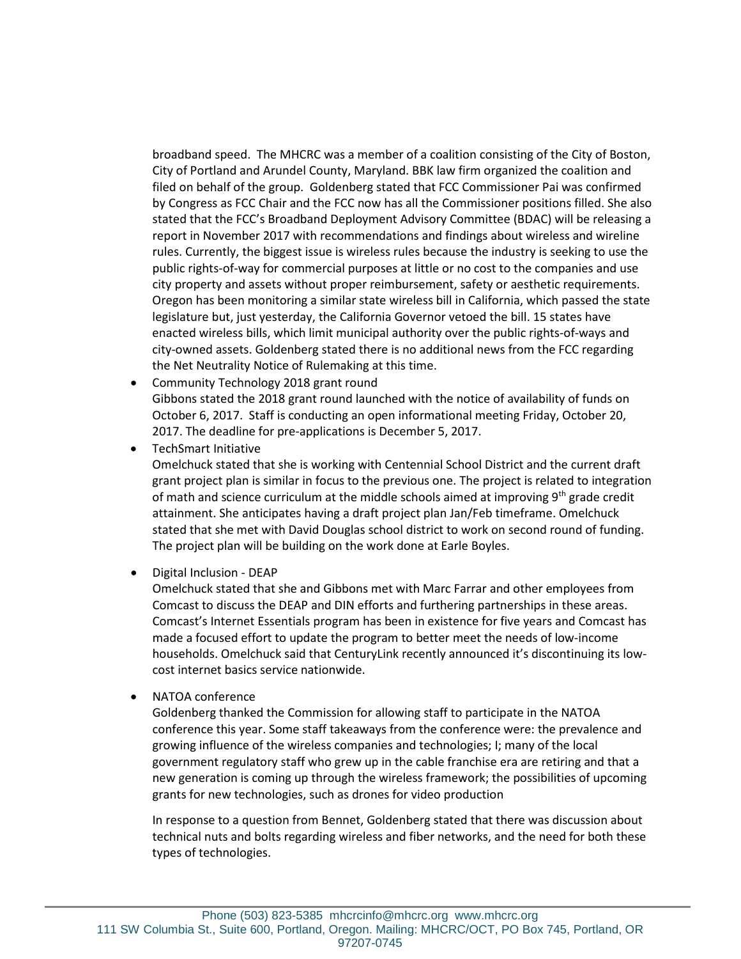broadband speed. The MHCRC was a member of a coalition consisting of the City of Boston, City of Portland and Arundel County, Maryland. BBK law firm organized the coalition and filed on behalf of the group. Goldenberg stated that FCC Commissioner Pai was confirmed by Congress as FCC Chair and the FCC now has all the Commissioner positions filled. She also stated that the FCC's Broadband Deployment Advisory Committee (BDAC) will be releasing a report in November 2017 with recommendations and findings about wireless and wireline rules. Currently, the biggest issue is wireless rules because the industry is seeking to use the public rights-of-way for commercial purposes at little or no cost to the companies and use city property and assets without proper reimbursement, safety or aesthetic requirements. Oregon has been monitoring a similar state wireless bill in California, which passed the state legislature but, just yesterday, the California Governor vetoed the bill. 15 states have enacted wireless bills, which limit municipal authority over the public rights-of-ways and city-owned assets. Goldenberg stated there is no additional news from the FCC regarding the Net Neutrality Notice of Rulemaking at this time.

- Community Technology 2018 grant round Gibbons stated the 2018 grant round launched with the notice of availability of funds on October 6, 2017. Staff is conducting an open informational meeting Friday, October 20, 2017. The deadline for pre-applications is December 5, 2017.
- TechSmart Initiative

Omelchuck stated that she is working with Centennial School District and the current draft grant project plan is similar in focus to the previous one. The project is related to integration of math and science curriculum at the middle schools aimed at improving  $9<sup>th</sup>$  grade credit attainment. She anticipates having a draft project plan Jan/Feb timeframe. Omelchuck stated that she met with David Douglas school district to work on second round of funding. The project plan will be building on the work done at Earle Boyles.

• Digital Inclusion - DEAP

Omelchuck stated that she and Gibbons met with Marc Farrar and other employees from Comcast to discuss the DEAP and DIN efforts and furthering partnerships in these areas. Comcast's Internet Essentials program has been in existence for five years and Comcast has made a focused effort to update the program to better meet the needs of low-income households. Omelchuck said that CenturyLink recently announced it's discontinuing its lowcost internet basics service nationwide.

• NATOA conference

Goldenberg thanked the Commission for allowing staff to participate in the NATOA conference this year. Some staff takeaways from the conference were: the prevalence and growing influence of the wireless companies and technologies; I; many of the local government regulatory staff who grew up in the cable franchise era are retiring and that a new generation is coming up through the wireless framework; the possibilities of upcoming grants for new technologies, such as drones for video production

In response to a question from Bennet, Goldenberg stated that there was discussion about technical nuts and bolts regarding wireless and fiber networks, and the need for both these types of technologies.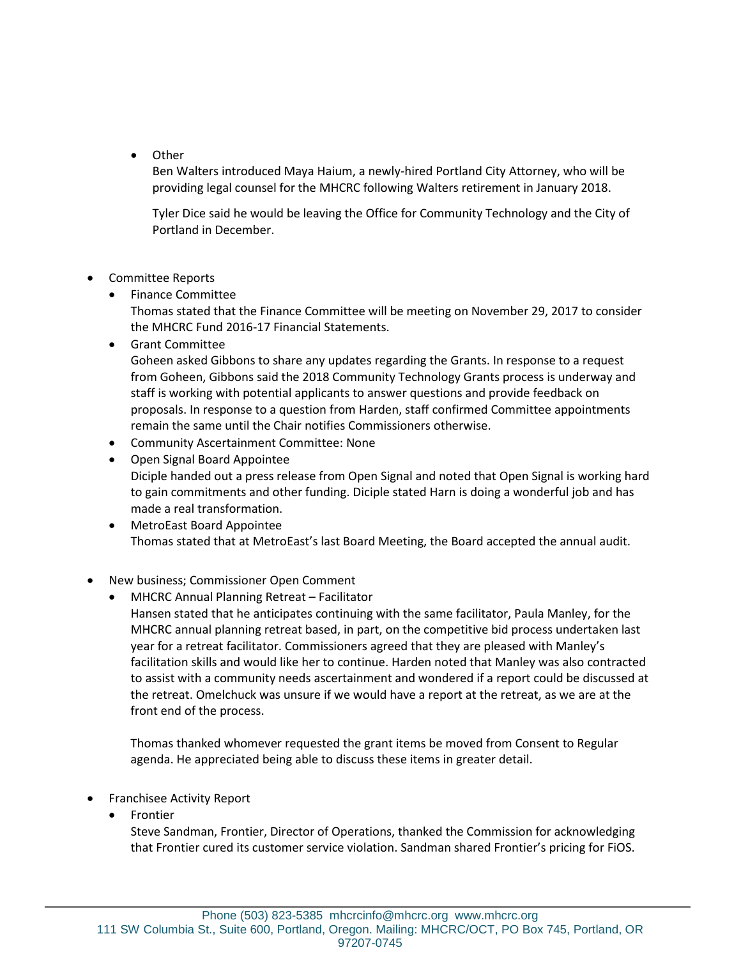• Other

Ben Walters introduced Maya Haium, a newly-hired Portland City Attorney, who will be providing legal counsel for the MHCRC following Walters retirement in January 2018.

Tyler Dice said he would be leaving the Office for Community Technology and the City of Portland in December.

- Committee Reports
	- Finance Committee

Thomas stated that the Finance Committee will be meeting on November 29, 2017 to consider the MHCRC Fund 2016-17 Financial Statements.

• Grant Committee

Goheen asked Gibbons to share any updates regarding the Grants. In response to a request from Goheen, Gibbons said the 2018 Community Technology Grants process is underway and staff is working with potential applicants to answer questions and provide feedback on proposals. In response to a question from Harden, staff confirmed Committee appointments remain the same until the Chair notifies Commissioners otherwise.

- Community Ascertainment Committee: None
- Open Signal Board Appointee Diciple handed out a press release from Open Signal and noted that Open Signal is working hard to gain commitments and other funding. Diciple stated Harn is doing a wonderful job and has made a real transformation.
- MetroEast Board Appointee Thomas stated that at MetroEast's last Board Meeting, the Board accepted the annual audit.
- New business; Commissioner Open Comment
	- MHCRC Annual Planning Retreat Facilitator

Hansen stated that he anticipates continuing with the same facilitator, Paula Manley, for the MHCRC annual planning retreat based, in part, on the competitive bid process undertaken last year for a retreat facilitator. Commissioners agreed that they are pleased with Manley's facilitation skills and would like her to continue. Harden noted that Manley was also contracted to assist with a community needs ascertainment and wondered if a report could be discussed at the retreat. Omelchuck was unsure if we would have a report at the retreat, as we are at the front end of the process.

Thomas thanked whomever requested the grant items be moved from Consent to Regular agenda. He appreciated being able to discuss these items in greater detail.

- Franchisee Activity Report
	- **Frontier**

Steve Sandman, Frontier, Director of Operations, thanked the Commission for acknowledging that Frontier cured its customer service violation. Sandman shared Frontier's pricing for FiOS.